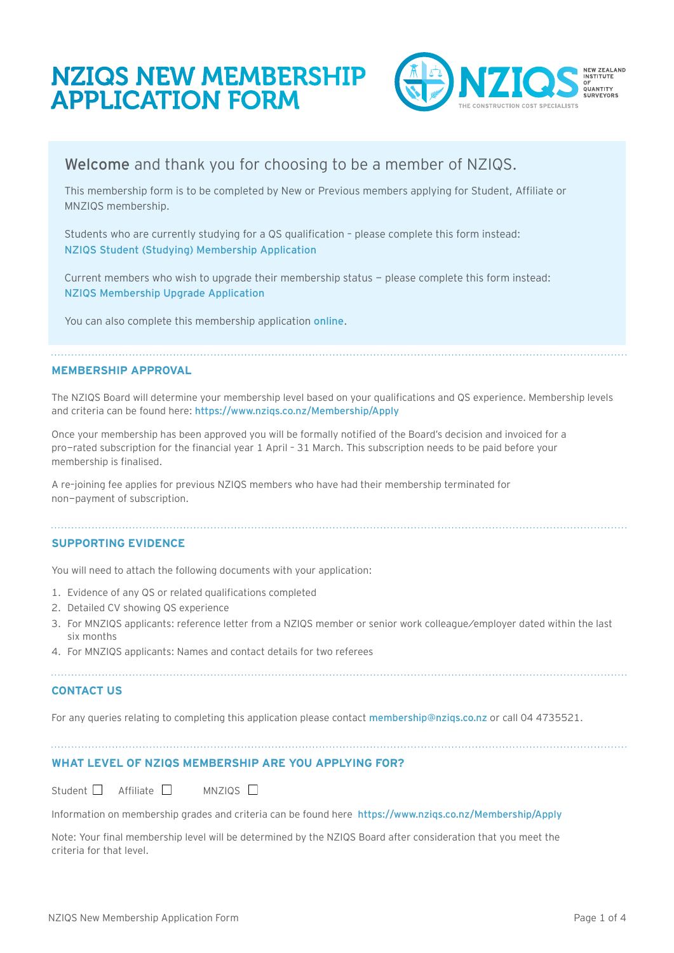# NZIQS NEW MEMBERSHIP APPLICATION FORM



## Welcome and thank you for choosing to be a member of NZIQS.

This membership form is to be completed by New or Previous members applying for Student, Affiliate or MNZIQS membership.

Students who are currently studying for a QS qualification – please complete this form instead: [NZIQS Student \(Studying\) Membership Application](https://www.nziqs.co.nz/forms)

Current members who wish to upgrade their membership status - please complete this form instead: [NZIQS Membership Upgrade Application](https://www.nziqs.co.nz/forms) 

You can also complete this membership application [online](https://www.nziqs.co.nz/Membership/Apply).

#### **MEMBERSHIP APPROVAL**

The NZIQS Board will determine your membership level based on your qualifications and QS experience. Membership levels and criteria can be found here: <https://www.nziqs.co.nz/Membership/Apply>

Once your membership has been approved you will be formally notified of the Board's decision and invoiced for a pro-rated subscription for the financial year 1 April – 31 March. This subscription needs to be paid before your membership is finalised.

A re–joining fee applies for previous NZIQS members who have had their membership terminated for non-payment of subscription.

#### **SUPPORTING EVIDENCE**

You will need to attach the following documents with your application:

- 1. Evidence of any QS or related qualifications completed
- 2. Detailed CV showing QS experience
- 3. For MNZIQS applicants: reference letter from a NZIQS member or senior work colleague/employer dated within the last six months
- 4. For MNZIQS applicants: Names and contact details for two referees

#### **CONTACT US**

For any queries relating to completing this application please contact membership[@nziqs.co.nz](mailto:membership%40nziqs.co.nz?subject=) or call 04 4735521.

### **WHAT LEVEL OF NZIQS MEMBERSHIP ARE YOU APPLYING FOR?**

Student  $\Box$  Affiliate  $\Box$  MNZIOS  $\Box$ 

Information on membership grades and criteria can be found here <https://www.nziqs.co.nz/Membership/Apply>

Note: Your final membership level will be determined by the NZIQS Board after consideration that you meet the criteria for that level.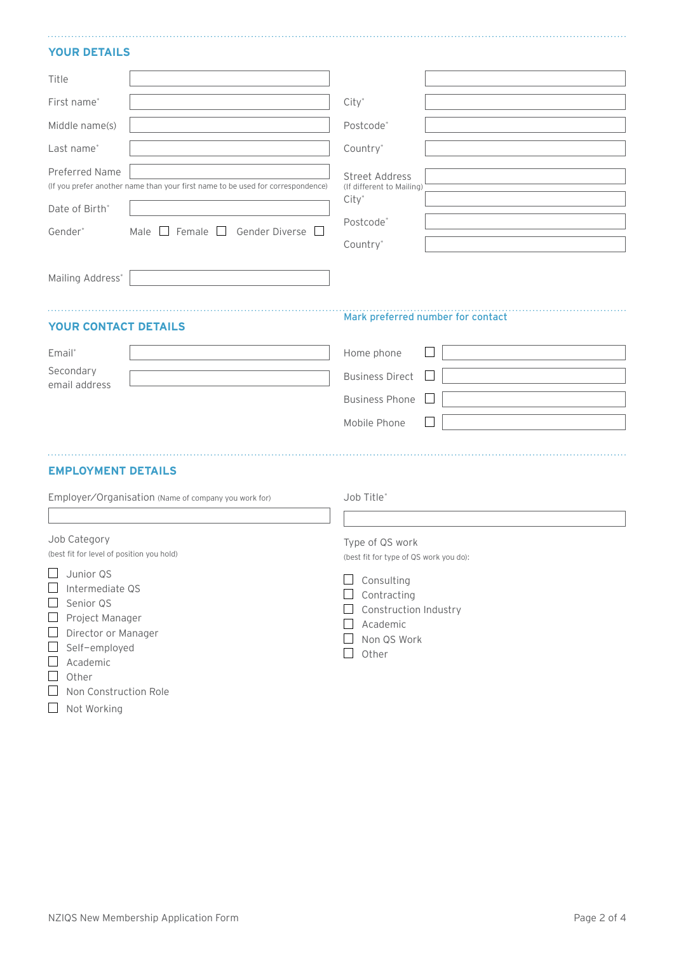#### **YOUR DETAILS**

| Title                                                                                                                                                                                                                                        |                                                                                 |                                                                                                                                                            |
|----------------------------------------------------------------------------------------------------------------------------------------------------------------------------------------------------------------------------------------------|---------------------------------------------------------------------------------|------------------------------------------------------------------------------------------------------------------------------------------------------------|
| First name*                                                                                                                                                                                                                                  |                                                                                 | $City*$                                                                                                                                                    |
| Middle name(s)                                                                                                                                                                                                                               |                                                                                 | Postcode*                                                                                                                                                  |
| Last name*                                                                                                                                                                                                                                   |                                                                                 | Country*                                                                                                                                                   |
| Preferred Name                                                                                                                                                                                                                               | (If you prefer another name than your first name to be used for correspondence) | <b>Street Address</b><br>(If different to Mailing)<br>$City^*$                                                                                             |
| Date of Birth*                                                                                                                                                                                                                               |                                                                                 | Postcode*                                                                                                                                                  |
| Gender*                                                                                                                                                                                                                                      | Male $\Box$ Female $\Box$ Gender Diverse $\Box$                                 | Country*                                                                                                                                                   |
| Mailing Address*                                                                                                                                                                                                                             |                                                                                 |                                                                                                                                                            |
| <b>YOUR CONTACT DETAILS</b>                                                                                                                                                                                                                  |                                                                                 | Mark preferred number for contact                                                                                                                          |
| Email*                                                                                                                                                                                                                                       |                                                                                 | Home phone                                                                                                                                                 |
| Secondary                                                                                                                                                                                                                                    |                                                                                 | <b>Business Direct</b>                                                                                                                                     |
| email address                                                                                                                                                                                                                                |                                                                                 | <b>Business Phone</b>                                                                                                                                      |
|                                                                                                                                                                                                                                              |                                                                                 | Mobile Phone                                                                                                                                               |
|                                                                                                                                                                                                                                              |                                                                                 |                                                                                                                                                            |
| <b>EMPLOYMENT DETAILS</b>                                                                                                                                                                                                                    |                                                                                 |                                                                                                                                                            |
|                                                                                                                                                                                                                                              | Employer/Organisation (Name of company you work for)                            | Job Title*                                                                                                                                                 |
|                                                                                                                                                                                                                                              |                                                                                 |                                                                                                                                                            |
| Job Category<br>(best fit for level of position you hold)                                                                                                                                                                                    |                                                                                 | Type of QS work<br>(best fit for type of QS work you do):                                                                                                  |
| $\Box$ Junior QS<br>$\Box$<br>Intermediate QS<br>Senior QS<br>ப<br>$\Box$ Project Manager<br>Director or Manager<br>$\Box$<br>Self-employed<br>$\begin{array}{c} \hline \end{array}$<br>Academic<br>⊔<br>Other<br>⊔<br>Non Construction Role |                                                                                 | Consulting<br>$\Box$<br>Contracting<br>$\Box$ Construction Industry<br>Academic<br>$\Box$<br>$\Box$<br>Non QS Work<br>$\mathcal{L}_{\mathcal{A}}$<br>Other |

Not Working

NZIQS New Membership Application Form example and the state of the Page 2 of 4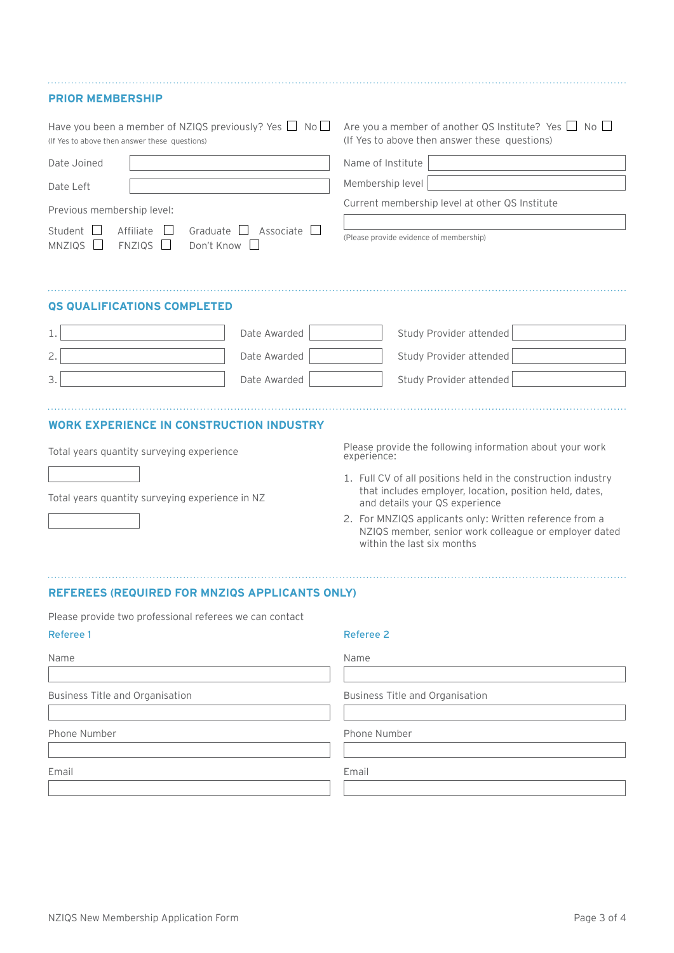#### **PRIOR MEMBERSHIP**

| Have you been a member of NZIQS previously? Yes $\Box$ No $\Box$<br>(If Yes to above then answer these questions)                                                    |              | Are you a member of another QS Institute? Yes $\Box$ No $\Box$<br>(If Yes to above then answer these questions)                    |
|----------------------------------------------------------------------------------------------------------------------------------------------------------------------|--------------|------------------------------------------------------------------------------------------------------------------------------------|
| Date Joined<br>Date Left<br>Previous membership level:<br>Student    <br>Affiliate<br>Graduate<br>MNZIQS <sub>L</sub><br><b>FNZIQS</b><br>Don't Know<br>$\mathbf{L}$ | Associate L  | Name of Institute<br>Membership level<br>Current membership level at other QS Institute<br>(Please provide evidence of membership) |
| <b>QS QUALIFICATIONS COMPLETED</b>                                                                                                                                   |              |                                                                                                                                    |
| 1.                                                                                                                                                                   | Date Awarded | Study Provider attended                                                                                                            |
| 2.                                                                                                                                                                   | Date Awarded | Study Provider attended                                                                                                            |
| 3.                                                                                                                                                                   | Date Awarded | Study Provider attended                                                                                                            |
| <b>WORK EXPERIENCE IN CONSTRUCTION INDUSTRY</b>                                                                                                                      |              |                                                                                                                                    |

Total years quantity surveying experience

 $\begin{array}{c} \hline \end{array}$ 

I

Total years quantity surveying experience in NZ

Please provide the following information about your work experience:

- 1. Full CV of all positions held in the construction industry that includes employer, location, position held, dates, and details your QS experience
- 2. For MNZIQS applicants only: Written reference from a NZIQS member, senior work colleague or employer dated within the last six months

**REFEREES (REQUIRED FOR MNZIQS APPLICANTS ONLY)**

| Please provide two professional referees we can contact |                                 |
|---------------------------------------------------------|---------------------------------|
| Referee 1                                               | <b>Referee 2</b>                |
| Name                                                    | Name                            |
| Business Title and Organisation                         | Business Title and Organisation |
| Phone Number                                            | Phone Number                    |
| Email                                                   | Email                           |